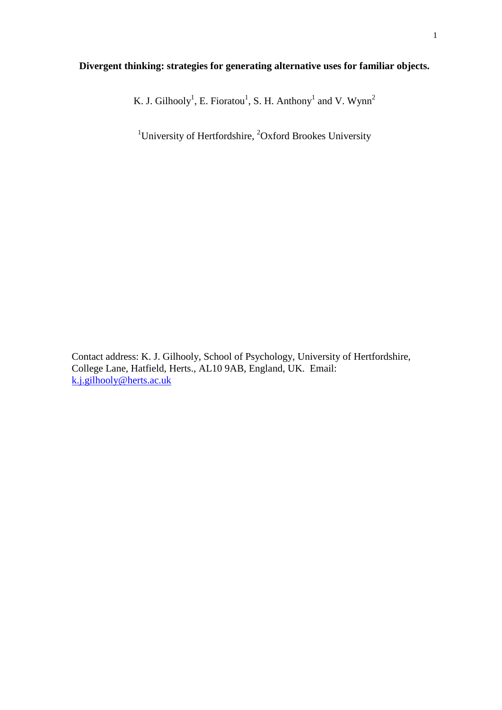# **Divergent thinking: strategies for generating alternative uses for familiar objects.**

K. J. Gilhooly<sup>1</sup>, E. Fioratou<sup>1</sup>, S. H. Anthony<sup>1</sup> and V. Wynn<sup>2</sup>

<sup>1</sup>University of Hertfordshire, <sup>2</sup>Oxford Brookes University

Contact address: K. J. Gilhooly, School of Psychology, University of Hertfordshire, College Lane, Hatfield, Herts., AL10 9AB, England, UK. Email: [k.j.gilhooly@herts.ac.uk](mailto:k.j.gilhooly@herts.ac.uk)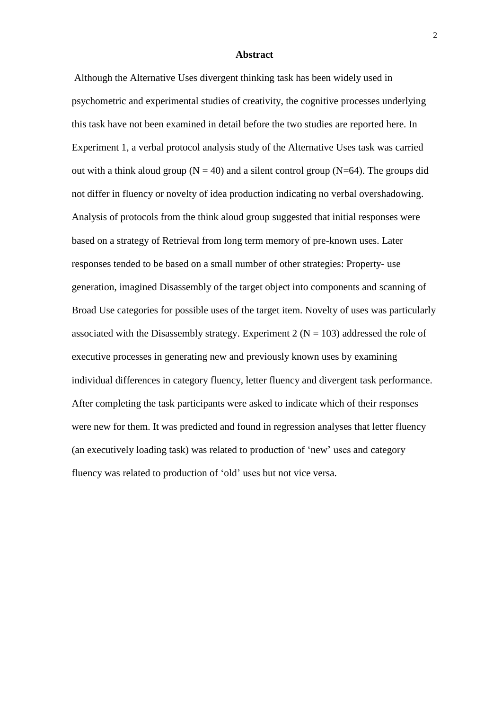#### **Abstract**

Although the Alternative Uses divergent thinking task has been widely used in psychometric and experimental studies of creativity, the cognitive processes underlying this task have not been examined in detail before the two studies are reported here. In Experiment 1, a verbal protocol analysis study of the Alternative Uses task was carried out with a think aloud group ( $N = 40$ ) and a silent control group ( $N = 64$ ). The groups did not differ in fluency or novelty of idea production indicating no verbal overshadowing. Analysis of protocols from the think aloud group suggested that initial responses were based on a strategy of Retrieval from long term memory of pre-known uses. Later responses tended to be based on a small number of other strategies: Property- use generation, imagined Disassembly of the target object into components and scanning of Broad Use categories for possible uses of the target item. Novelty of uses was particularly associated with the Disassembly strategy. Experiment 2 ( $N = 103$ ) addressed the role of executive processes in generating new and previously known uses by examining individual differences in category fluency, letter fluency and divergent task performance. After completing the task participants were asked to indicate which of their responses were new for them. It was predicted and found in regression analyses that letter fluency (an executively loading task) was related to production of "new" uses and category fluency was related to production of 'old' uses but not vice versa.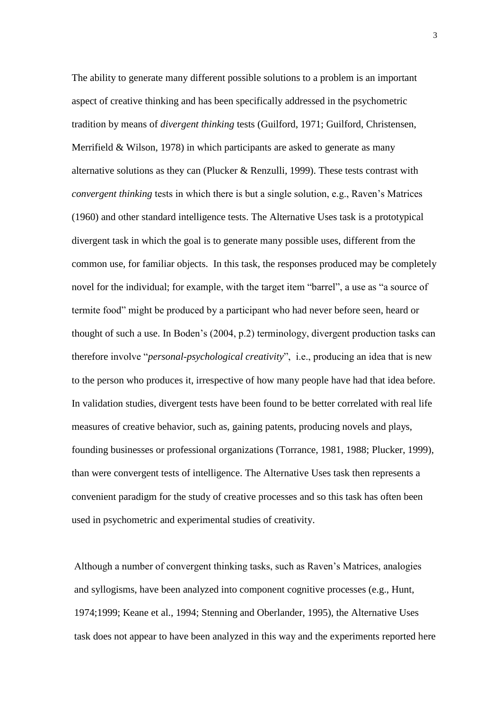The ability to generate many different possible solutions to a problem is an important aspect of creative thinking and has been specifically addressed in the psychometric tradition by means of *divergent thinking* tests (Guilford, 1971; Guilford, Christensen, Merrifield & Wilson, 1978) in which participants are asked to generate as many alternative solutions as they can (Plucker & Renzulli, 1999). These tests contrast with *convergent thinking* tests in which there is but a single solution, e.g., Raven"s Matrices (1960) and other standard intelligence tests. The Alternative Uses task is a prototypical divergent task in which the goal is to generate many possible uses, different from the common use, for familiar objects. In this task, the responses produced may be completely novel for the individual; for example, with the target item "barrel", a use as "a source of termite food" might be produced by a participant who had never before seen, heard or thought of such a use. In Boden"s (2004, p.2) terminology, divergent production tasks can therefore involve "*personal-psychological creativity*", i.e., producing an idea that is new to the person who produces it, irrespective of how many people have had that idea before. In validation studies, divergent tests have been found to be better correlated with real life measures of creative behavior, such as, gaining patents, producing novels and plays, founding businesses or professional organizations (Torrance, 1981, 1988; Plucker, 1999), than were convergent tests of intelligence. The Alternative Uses task then represents a convenient paradigm for the study of creative processes and so this task has often been used in psychometric and experimental studies of creativity.

Although a number of convergent thinking tasks, such as Raven"s Matrices, analogies and syllogisms, have been analyzed into component cognitive processes (e.g., Hunt, 1974;1999; Keane et al., 1994; Stenning and Oberlander, 1995), the Alternative Uses task does not appear to have been analyzed in this way and the experiments reported here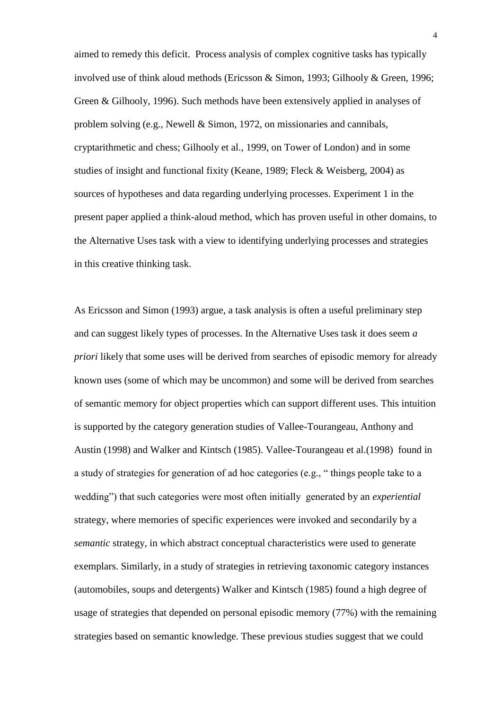aimed to remedy this deficit. Process analysis of complex cognitive tasks has typically involved use of think aloud methods (Ericsson & Simon, 1993; Gilhooly & Green, 1996; Green & Gilhooly, 1996). Such methods have been extensively applied in analyses of problem solving (e.g., Newell & Simon, 1972, on missionaries and cannibals, cryptarithmetic and chess; Gilhooly et al., 1999, on Tower of London) and in some studies of insight and functional fixity (Keane, 1989; Fleck & Weisberg, 2004) as sources of hypotheses and data regarding underlying processes. Experiment 1 in the present paper applied a think-aloud method, which has proven useful in other domains, to the Alternative Uses task with a view to identifying underlying processes and strategies in this creative thinking task.

As Ericsson and Simon (1993) argue, a task analysis is often a useful preliminary step and can suggest likely types of processes. In the Alternative Uses task it does seem *a priori* likely that some uses will be derived from searches of episodic memory for already known uses (some of which may be uncommon) and some will be derived from searches of semantic memory for object properties which can support different uses. This intuition is supported by the category generation studies of Vallee-Tourangeau, Anthony and Austin (1998) and Walker and Kintsch (1985). Vallee-Tourangeau et al.(1998) found in a study of strategies for generation of ad hoc categories (e.g., " things people take to a wedding") that such categories were most often initially generated by an *experiential* strategy, where memories of specific experiences were invoked and secondarily by a *semantic* strategy, in which abstract conceptual characteristics were used to generate exemplars. Similarly, in a study of strategies in retrieving taxonomic category instances (automobiles, soups and detergents) Walker and Kintsch (1985) found a high degree of usage of strategies that depended on personal episodic memory (77%) with the remaining strategies based on semantic knowledge. These previous studies suggest that we could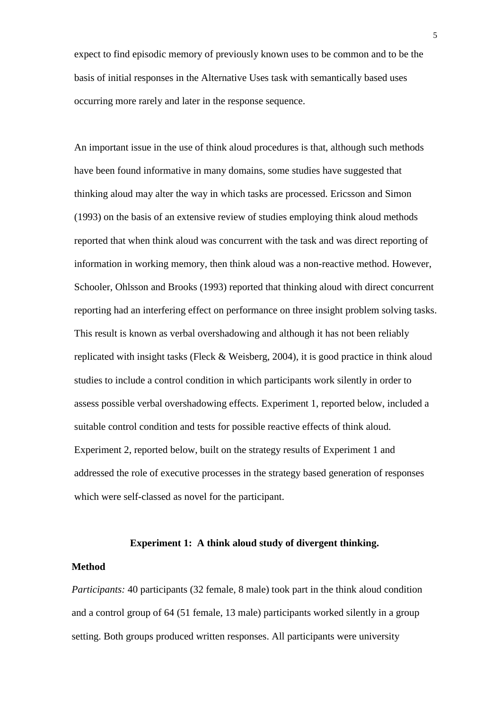expect to find episodic memory of previously known uses to be common and to be the basis of initial responses in the Alternative Uses task with semantically based uses occurring more rarely and later in the response sequence.

An important issue in the use of think aloud procedures is that, although such methods have been found informative in many domains, some studies have suggested that thinking aloud may alter the way in which tasks are processed. Ericsson and Simon (1993) on the basis of an extensive review of studies employing think aloud methods reported that when think aloud was concurrent with the task and was direct reporting of information in working memory, then think aloud was a non-reactive method. However, Schooler, Ohlsson and Brooks (1993) reported that thinking aloud with direct concurrent reporting had an interfering effect on performance on three insight problem solving tasks. This result is known as verbal overshadowing and although it has not been reliably replicated with insight tasks (Fleck & Weisberg, 2004), it is good practice in think aloud studies to include a control condition in which participants work silently in order to assess possible verbal overshadowing effects. Experiment 1, reported below, included a suitable control condition and tests for possible reactive effects of think aloud. Experiment 2, reported below, built on the strategy results of Experiment 1 and addressed the role of executive processes in the strategy based generation of responses which were self-classed as novel for the participant.

# **Experiment 1: A think aloud study of divergent thinking.**

#### **Method**

*Participants:* 40 participants (32 female, 8 male) took part in the think aloud condition and a control group of 64 (51 female, 13 male) participants worked silently in a group setting. Both groups produced written responses. All participants were university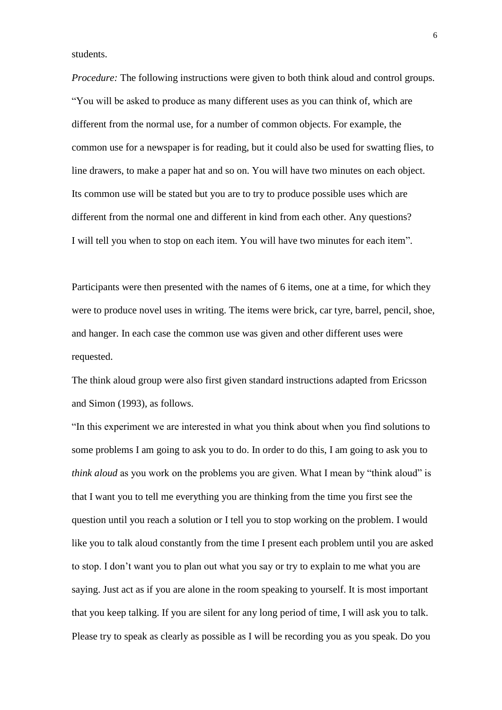students.

*Procedure:* The following instructions were given to both think aloud and control groups. "You will be asked to produce as many different uses as you can think of, which are different from the normal use, for a number of common objects. For example, the common use for a newspaper is for reading, but it could also be used for swatting flies, to line drawers, to make a paper hat and so on. You will have two minutes on each object. Its common use will be stated but you are to try to produce possible uses which are different from the normal one and different in kind from each other. Any questions? I will tell you when to stop on each item. You will have two minutes for each item".

Participants were then presented with the names of 6 items, one at a time, for which they were to produce novel uses in writing. The items were brick, car tyre, barrel, pencil, shoe, and hanger. In each case the common use was given and other different uses were requested.

The think aloud group were also first given standard instructions adapted from Ericsson and Simon (1993), as follows.

"In this experiment we are interested in what you think about when you find solutions to some problems I am going to ask you to do. In order to do this, I am going to ask you to *think aloud* as you work on the problems you are given. What I mean by "think aloud" is that I want you to tell me everything you are thinking from the time you first see the question until you reach a solution or I tell you to stop working on the problem. I would like you to talk aloud constantly from the time I present each problem until you are asked to stop. I don"t want you to plan out what you say or try to explain to me what you are saying. Just act as if you are alone in the room speaking to yourself. It is most important that you keep talking. If you are silent for any long period of time, I will ask you to talk. Please try to speak as clearly as possible as I will be recording you as you speak. Do you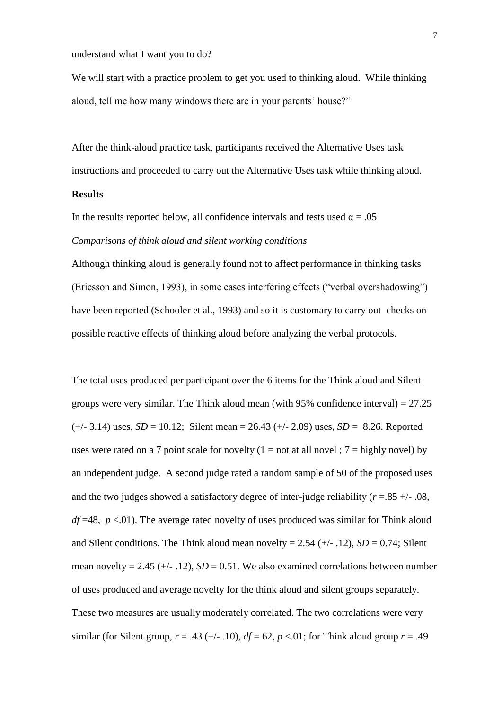### understand what I want you to do?

We will start with a practice problem to get you used to thinking aloud. While thinking aloud, tell me how many windows there are in your parents' house?"

After the think-aloud practice task, participants received the Alternative Uses task instructions and proceeded to carry out the Alternative Uses task while thinking aloud.

## **Results**

In the results reported below, all confidence intervals and tests used  $\alpha = .05$ *Comparisons of think aloud and silent working conditions*

Although thinking aloud is generally found not to affect performance in thinking tasks (Ericsson and Simon, 1993), in some cases interfering effects ("verbal overshadowing") have been reported (Schooler et al., 1993) and so it is customary to carry out checks on possible reactive effects of thinking aloud before analyzing the verbal protocols.

The total uses produced per participant over the 6 items for the Think aloud and Silent groups were very similar. The Think aloud mean (with 95% confidence interval) =  $27.25$  $(+/- 3.14)$  uses,  $SD = 10.12$ ; Silent mean = 26.43  $(+/- 2.09)$  uses,  $SD = 8.26$ . Reported uses were rated on a 7 point scale for novelty  $(1 = not at all novel ; 7 = highly novel) by$ an independent judge. A second judge rated a random sample of 50 of the proposed uses and the two judges showed a satisfactory degree of inter-judge reliability  $(r = .85 +/- .08,$  $df = 48$ ,  $p < 0.01$ ). The average rated novelty of uses produced was similar for Think aloud and Silent conditions. The Think aloud mean novelty =  $2.54$  (+/- .12), *SD* = 0.74; Silent mean novelty =  $2.45$  (+/- .12), *SD* = 0.51. We also examined correlations between number of uses produced and average novelty for the think aloud and silent groups separately. These two measures are usually moderately correlated. The two correlations were very similar (for Silent group,  $r = .43$  (+/- .10),  $df = 62$ ,  $p < .01$ ; for Think aloud group  $r = .49$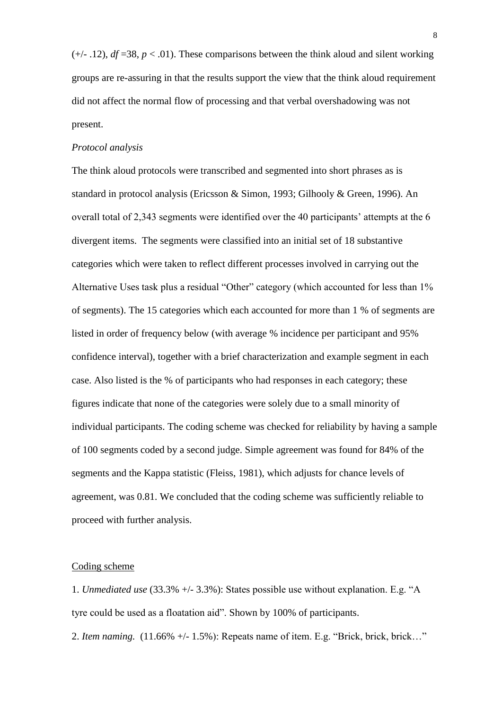$(+/- 12)$ ,  $df = 38$ ,  $p < .01$ ). These comparisons between the think aloud and silent working groups are re-assuring in that the results support the view that the think aloud requirement did not affect the normal flow of processing and that verbal overshadowing was not present.

# *Protocol analysis*

The think aloud protocols were transcribed and segmented into short phrases as is standard in protocol analysis (Ericsson & Simon, 1993; Gilhooly & Green, 1996). An overall total of 2,343 segments were identified over the 40 participants' attempts at the 6 divergent items. The segments were classified into an initial set of 18 substantive categories which were taken to reflect different processes involved in carrying out the Alternative Uses task plus a residual "Other" category (which accounted for less than 1% of segments). The 15 categories which each accounted for more than 1 % of segments are listed in order of frequency below (with average % incidence per participant and 95% confidence interval), together with a brief characterization and example segment in each case. Also listed is the % of participants who had responses in each category; these figures indicate that none of the categories were solely due to a small minority of individual participants. The coding scheme was checked for reliability by having a sample of 100 segments coded by a second judge. Simple agreement was found for 84% of the segments and the Kappa statistic (Fleiss, 1981), which adjusts for chance levels of agreement, was 0.81. We concluded that the coding scheme was sufficiently reliable to proceed with further analysis.

### Coding scheme

1. *Unmediated use* (33.3% +/- 3.3%): States possible use without explanation. E.g. "A tyre could be used as a floatation aid". Shown by 100% of participants.

2. *Item naming.* (11.66% +/- 1.5%): Repeats name of item. E.g. "Brick, brick, brick…"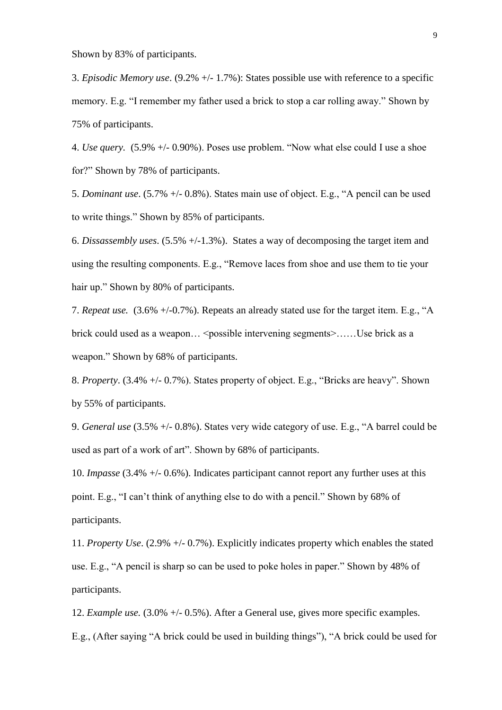Shown by 83% of participants.

3. *Episodic Memory use*. (9.2% +/- 1.7%): States possible use with reference to a specific memory. E.g. "I remember my father used a brick to stop a car rolling away." Shown by 75% of participants.

4. *Use query.* (5.9% +/- 0.90%). Poses use problem. "Now what else could I use a shoe for?" Shown by 78% of participants.

5. *Dominant use*. (5.7% +/- 0.8%). States main use of object. E.g., "A pencil can be used to write things." Shown by 85% of participants.

6. *Dissassembly uses*. (5.5% +/-1.3%). States a way of decomposing the target item and using the resulting components. E.g., "Remove laces from shoe and use them to tie your hair up." Shown by 80% of participants.

7. *Repeat use.* (3.6% +/-0.7%). Repeats an already stated use for the target item. E.g., "A brick could used as a weapon... <possible intervening segments>......Use brick as a weapon." Shown by 68% of participants.

8. *Property*. (3.4% +/- 0.7%). States property of object. E.g., "Bricks are heavy". Shown by 55% of participants.

9. *General use* (3.5% +/- 0.8%). States very wide category of use. E.g., "A barrel could be used as part of a work of art". Shown by 68% of participants.

10. *Impasse* (3.4% +/- 0.6%). Indicates participant cannot report any further uses at this point. E.g., "I can"t think of anything else to do with a pencil." Shown by 68% of participants.

11. *Property Use*. (2.9% +/- 0.7%). Explicitly indicates property which enables the stated use. E.g., "A pencil is sharp so can be used to poke holes in paper." Shown by 48% of participants.

12. *Example use.* (3.0% +/- 0.5%). After a General use, gives more specific examples. E.g., (After saying "A brick could be used in building things"), "A brick could be used for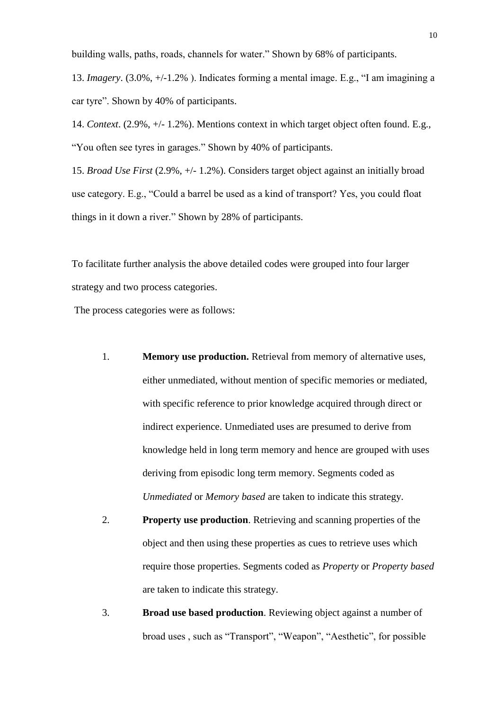building walls, paths, roads, channels for water." Shown by 68% of participants.

13. *Imagery*. (3.0%, +/-1.2% ). Indicates forming a mental image. E.g., "I am imagining a car tyre". Shown by 40% of participants.

14. *Context*. (2.9%, +/- 1.2%). Mentions context in which target object often found. E.g., "You often see tyres in garages." Shown by 40% of participants.

15. *Broad Use First* (2.9%, +/- 1.2%). Considers target object against an initially broad use category. E.g., "Could a barrel be used as a kind of transport? Yes, you could float things in it down a river." Shown by 28% of participants.

To facilitate further analysis the above detailed codes were grouped into four larger strategy and two process categories.

The process categories were as follows:

- 1. **Memory use production.** Retrieval from memory of alternative uses, either unmediated, without mention of specific memories or mediated, with specific reference to prior knowledge acquired through direct or indirect experience. Unmediated uses are presumed to derive from knowledge held in long term memory and hence are grouped with uses deriving from episodic long term memory. Segments coded as *Unmediated* or *Memory based* are taken to indicate this strategy.
- 2. **Property use production**. Retrieving and scanning properties of the object and then using these properties as cues to retrieve uses which require those properties. Segments coded as *Property* or *Property based* are taken to indicate this strategy.
- 3. **Broad use based production**. Reviewing object against a number of broad uses , such as "Transport", "Weapon", "Aesthetic", for possible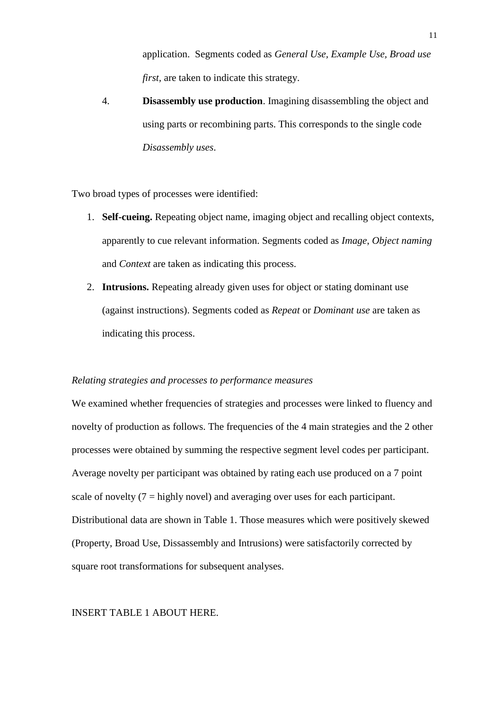application. Segments coded as *General Use, Example Use, Broad use first,* are taken to indicate this strategy.

4. **Disassembly use production**. Imagining disassembling the object and using parts or recombining parts. This corresponds to the single code *Disassembly uses*.

Two broad types of processes were identified:

- 1. **Self-cueing.** Repeating object name, imaging object and recalling object contexts, apparently to cue relevant information. Segments coded as *Image*, *Object naming* and *Context* are taken as indicating this process.
- 2. **Intrusions.** Repeating already given uses for object or stating dominant use (against instructions). Segments coded as *Repeat* or *Dominant use* are taken as indicating this process.

### *Relating strategies and processes to performance measures*

We examined whether frequencies of strategies and processes were linked to fluency and novelty of production as follows. The frequencies of the 4 main strategies and the 2 other processes were obtained by summing the respective segment level codes per participant. Average novelty per participant was obtained by rating each use produced on a 7 point scale of novelty  $(7 = \text{highly novel})$  and averaging over uses for each participant. Distributional data are shown in Table 1. Those measures which were positively skewed (Property, Broad Use, Dissassembly and Intrusions) were satisfactorily corrected by square root transformations for subsequent analyses.

# INSERT TABLE 1 ABOUT HERE.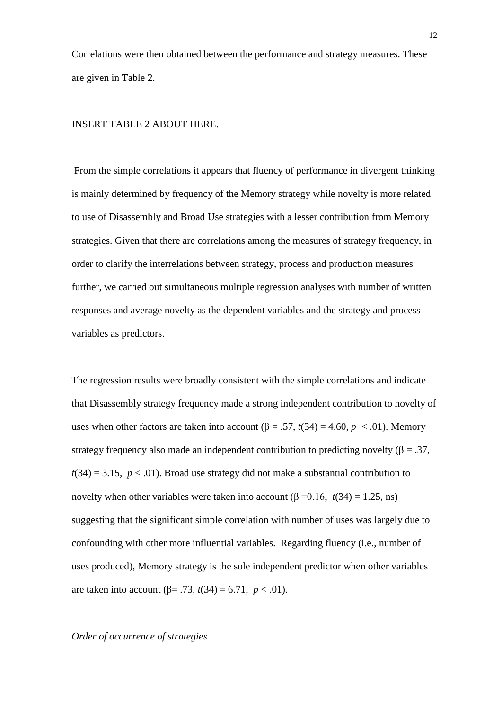Correlations were then obtained between the performance and strategy measures. These are given in Table 2.

# INSERT TABLE 2 ABOUT HERE.

From the simple correlations it appears that fluency of performance in divergent thinking is mainly determined by frequency of the Memory strategy while novelty is more related to use of Disassembly and Broad Use strategies with a lesser contribution from Memory strategies. Given that there are correlations among the measures of strategy frequency, in order to clarify the interrelations between strategy, process and production measures further, we carried out simultaneous multiple regression analyses with number of written responses and average novelty as the dependent variables and the strategy and process variables as predictors.

The regression results were broadly consistent with the simple correlations and indicate that Disassembly strategy frequency made a strong independent contribution to novelty of uses when other factors are taken into account  $(\beta = .57, t(34) = 4.60, p < .01)$ . Memory strategy frequency also made an independent contribution to predicting novelty ( $\beta = .37$ ,  $t(34) = 3.15$ ,  $p < .01$ ). Broad use strategy did not make a substantial contribution to novelty when other variables were taken into account  $(β = 0.16, t(34) = 1.25, ns)$ suggesting that the significant simple correlation with number of uses was largely due to confounding with other more influential variables. Regarding fluency (i.e., number of uses produced), Memory strategy is the sole independent predictor when other variables are taken into account  $(\beta = .73, t(34) = 6.71, p < .01)$ .

# *Order of occurrence of strategies*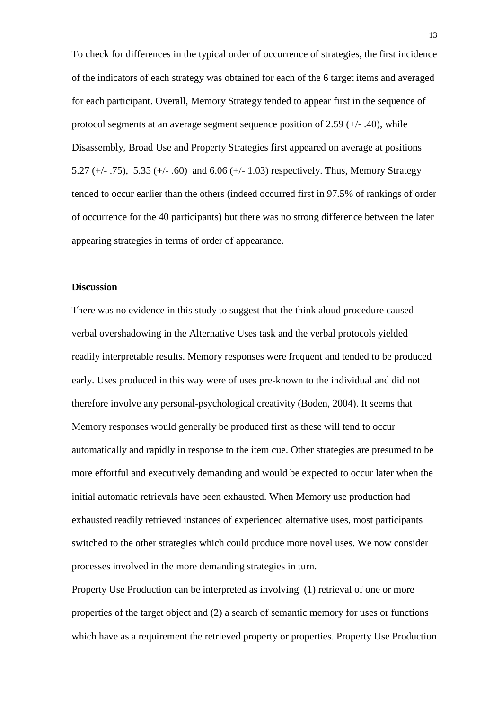To check for differences in the typical order of occurrence of strategies, the first incidence of the indicators of each strategy was obtained for each of the 6 target items and averaged for each participant. Overall, Memory Strategy tended to appear first in the sequence of protocol segments at an average segment sequence position of 2.59 (+/- .40), while Disassembly, Broad Use and Property Strategies first appeared on average at positions 5.27 (+/- .75), 5.35 (+/- .60) and 6.06 (+/- 1.03) respectively. Thus, Memory Strategy tended to occur earlier than the others (indeed occurred first in 97.5% of rankings of order of occurrence for the 40 participants) but there was no strong difference between the later appearing strategies in terms of order of appearance.

# **Discussion**

There was no evidence in this study to suggest that the think aloud procedure caused verbal overshadowing in the Alternative Uses task and the verbal protocols yielded readily interpretable results. Memory responses were frequent and tended to be produced early. Uses produced in this way were of uses pre-known to the individual and did not therefore involve any personal-psychological creativity (Boden, 2004). It seems that Memory responses would generally be produced first as these will tend to occur automatically and rapidly in response to the item cue. Other strategies are presumed to be more effortful and executively demanding and would be expected to occur later when the initial automatic retrievals have been exhausted. When Memory use production had exhausted readily retrieved instances of experienced alternative uses, most participants switched to the other strategies which could produce more novel uses. We now consider processes involved in the more demanding strategies in turn.

Property Use Production can be interpreted as involving (1) retrieval of one or more properties of the target object and (2) a search of semantic memory for uses or functions which have as a requirement the retrieved property or properties. Property Use Production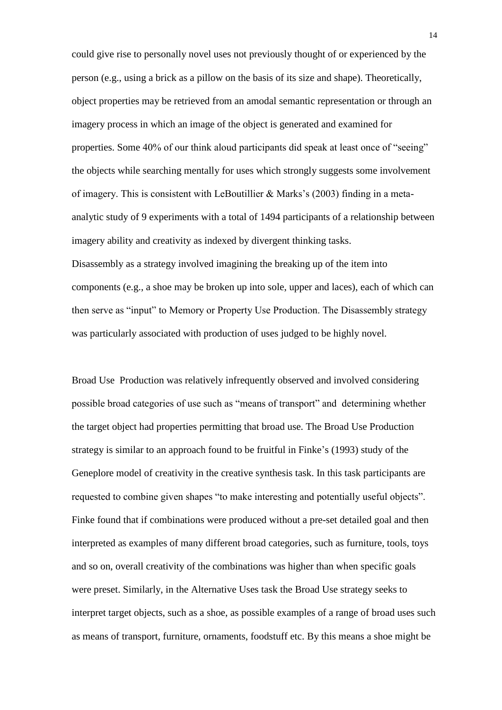could give rise to personally novel uses not previously thought of or experienced by the person (e.g., using a brick as a pillow on the basis of its size and shape). Theoretically, object properties may be retrieved from an amodal semantic representation or through an imagery process in which an image of the object is generated and examined for properties. Some 40% of our think aloud participants did speak at least once of "seeing" the objects while searching mentally for uses which strongly suggests some involvement of imagery. This is consistent with LeBoutillier  $&$  Marks's (2003) finding in a metaanalytic study of 9 experiments with a total of 1494 participants of a relationship between imagery ability and creativity as indexed by divergent thinking tasks. Disassembly as a strategy involved imagining the breaking up of the item into components (e.g., a shoe may be broken up into sole, upper and laces), each of which can then serve as "input" to Memory or Property Use Production. The Disassembly strategy was particularly associated with production of uses judged to be highly novel.

Broad Use Production was relatively infrequently observed and involved considering possible broad categories of use such as "means of transport" and determining whether the target object had properties permitting that broad use. The Broad Use Production strategy is similar to an approach found to be fruitful in Finke's (1993) study of the Geneplore model of creativity in the creative synthesis task. In this task participants are requested to combine given shapes "to make interesting and potentially useful objects". Finke found that if combinations were produced without a pre-set detailed goal and then interpreted as examples of many different broad categories, such as furniture, tools, toys and so on, overall creativity of the combinations was higher than when specific goals were preset. Similarly, in the Alternative Uses task the Broad Use strategy seeks to interpret target objects, such as a shoe, as possible examples of a range of broad uses such as means of transport, furniture, ornaments, foodstuff etc. By this means a shoe might be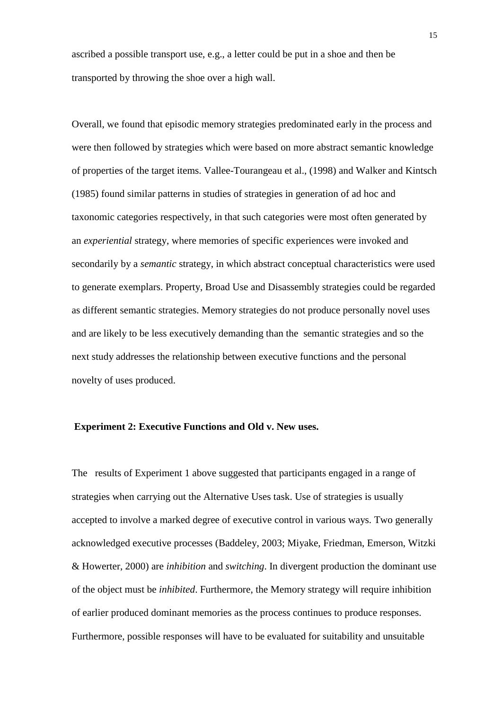ascribed a possible transport use, e.g., a letter could be put in a shoe and then be transported by throwing the shoe over a high wall.

Overall, we found that episodic memory strategies predominated early in the process and were then followed by strategies which were based on more abstract semantic knowledge of properties of the target items. Vallee-Tourangeau et al., (1998) and Walker and Kintsch (1985) found similar patterns in studies of strategies in generation of ad hoc and taxonomic categories respectively, in that such categories were most often generated by an *experiential* strategy, where memories of specific experiences were invoked and secondarily by a *semantic* strategy, in which abstract conceptual characteristics were used to generate exemplars. Property, Broad Use and Disassembly strategies could be regarded as different semantic strategies. Memory strategies do not produce personally novel uses and are likely to be less executively demanding than the semantic strategies and so the next study addresses the relationship between executive functions and the personal novelty of uses produced.

### **Experiment 2: Executive Functions and Old v. New uses.**

The results of Experiment 1 above suggested that participants engaged in a range of strategies when carrying out the Alternative Uses task. Use of strategies is usually accepted to involve a marked degree of executive control in various ways. Two generally acknowledged executive processes (Baddeley, 2003; Miyake, Friedman, Emerson, Witzki & Howerter, 2000) are *inhibition* and *switching*. In divergent production the dominant use of the object must be *inhibited*. Furthermore, the Memory strategy will require inhibition of earlier produced dominant memories as the process continues to produce responses. Furthermore, possible responses will have to be evaluated for suitability and unsuitable

15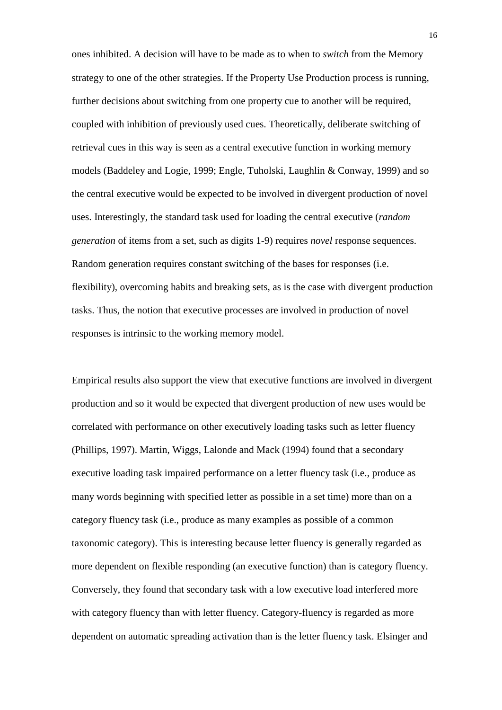ones inhibited. A decision will have to be made as to when to *switch* from the Memory strategy to one of the other strategies. If the Property Use Production process is running, further decisions about switching from one property cue to another will be required, coupled with inhibition of previously used cues. Theoretically, deliberate switching of retrieval cues in this way is seen as a central executive function in working memory models (Baddeley and Logie, 1999; Engle, Tuholski, Laughlin & Conway, 1999) and so the central executive would be expected to be involved in divergent production of novel uses. Interestingly, the standard task used for loading the central executive (*random generation* of items from a set, such as digits 1-9) requires *novel* response sequences. Random generation requires constant switching of the bases for responses (i.e. flexibility), overcoming habits and breaking sets, as is the case with divergent production tasks. Thus, the notion that executive processes are involved in production of novel responses is intrinsic to the working memory model.

Empirical results also support the view that executive functions are involved in divergent production and so it would be expected that divergent production of new uses would be correlated with performance on other executively loading tasks such as letter fluency (Phillips, 1997). Martin, Wiggs, Lalonde and Mack (1994) found that a secondary executive loading task impaired performance on a letter fluency task (i.e., produce as many words beginning with specified letter as possible in a set time) more than on a category fluency task (i.e., produce as many examples as possible of a common taxonomic category). This is interesting because letter fluency is generally regarded as more dependent on flexible responding (an executive function) than is category fluency. Conversely, they found that secondary task with a low executive load interfered more with category fluency than with letter fluency. Category-fluency is regarded as more dependent on automatic spreading activation than is the letter fluency task. Elsinger and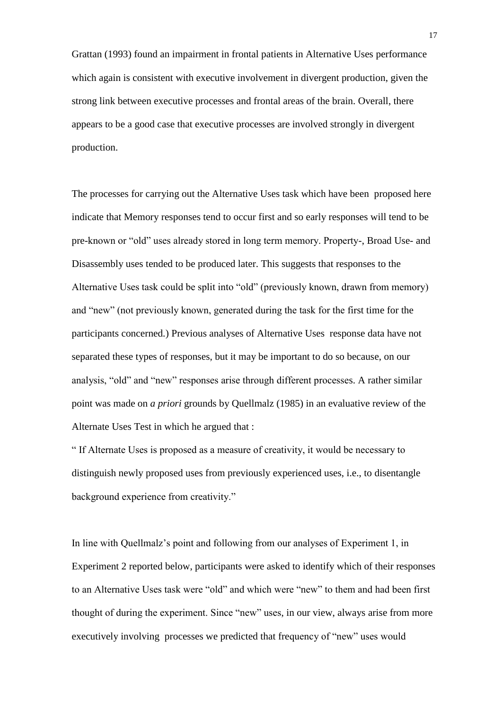Grattan (1993) found an impairment in frontal patients in Alternative Uses performance which again is consistent with executive involvement in divergent production, given the strong link between executive processes and frontal areas of the brain. Overall, there appears to be a good case that executive processes are involved strongly in divergent production.

The processes for carrying out the Alternative Uses task which have been proposed here indicate that Memory responses tend to occur first and so early responses will tend to be pre-known or "old" uses already stored in long term memory. Property-, Broad Use- and Disassembly uses tended to be produced later. This suggests that responses to the Alternative Uses task could be split into "old" (previously known, drawn from memory) and "new" (not previously known, generated during the task for the first time for the participants concerned.) Previous analyses of Alternative Uses response data have not separated these types of responses, but it may be important to do so because, on our analysis, "old" and "new" responses arise through different processes. A rather similar point was made on *a priori* grounds by Quellmalz (1985) in an evaluative review of the Alternate Uses Test in which he argued that :

" If Alternate Uses is proposed as a measure of creativity, it would be necessary to distinguish newly proposed uses from previously experienced uses, i.e., to disentangle background experience from creativity."

In line with Quellmalz"s point and following from our analyses of Experiment 1, in Experiment 2 reported below, participants were asked to identify which of their responses to an Alternative Uses task were "old" and which were "new" to them and had been first thought of during the experiment. Since "new" uses, in our view, always arise from more executively involving processes we predicted that frequency of "new" uses would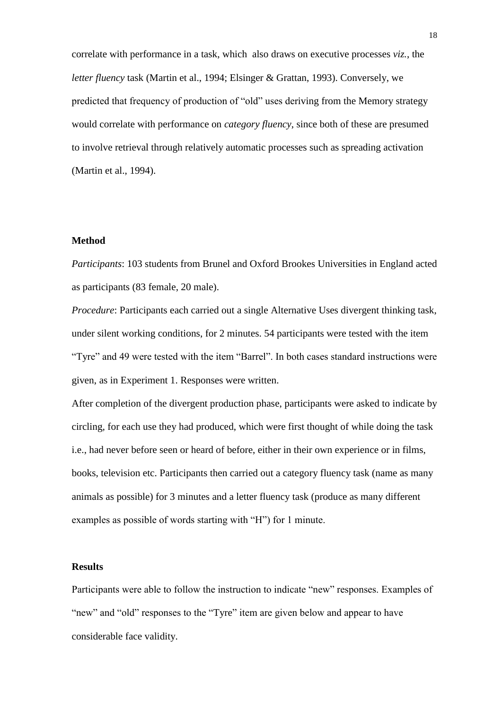correlate with performance in a task, which also draws on executive processes *viz.*, the *letter fluency* task (Martin et al., 1994; Elsinger & Grattan, 1993). Conversely, we predicted that frequency of production of "old" uses deriving from the Memory strategy would correlate with performance on *category fluency*, since both of these are presumed to involve retrieval through relatively automatic processes such as spreading activation (Martin et al., 1994).

### **Method**

*Participants*: 103 students from Brunel and Oxford Brookes Universities in England acted as participants (83 female, 20 male).

*Procedure*: Participants each carried out a single Alternative Uses divergent thinking task, under silent working conditions, for 2 minutes. 54 participants were tested with the item "Tyre" and 49 were tested with the item "Barrel". In both cases standard instructions were given, as in Experiment 1. Responses were written.

After completion of the divergent production phase, participants were asked to indicate by circling, for each use they had produced, which were first thought of while doing the task i.e., had never before seen or heard of before, either in their own experience or in films, books, television etc. Participants then carried out a category fluency task (name as many animals as possible) for 3 minutes and a letter fluency task (produce as many different examples as possible of words starting with "H") for 1 minute.

#### **Results**

Participants were able to follow the instruction to indicate "new" responses. Examples of "new" and "old" responses to the "Tyre" item are given below and appear to have considerable face validity.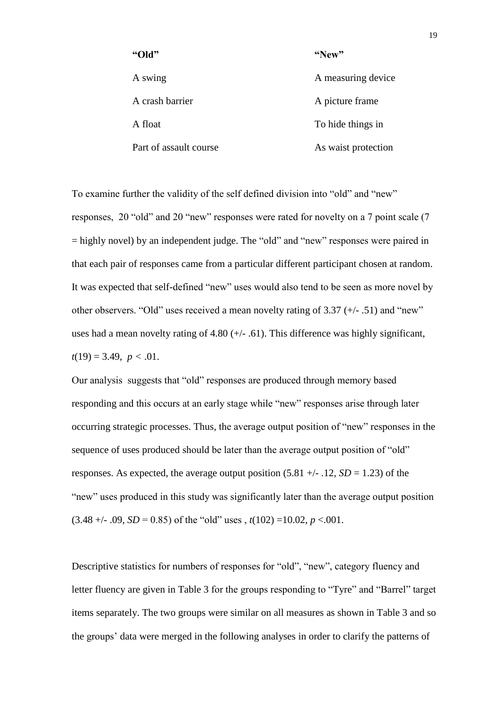| "Old"                  | "New"               |
|------------------------|---------------------|
| A swing                | A measuring device  |
| A crash barrier        | A picture frame     |
| A float                | To hide things in   |
| Part of assault course | As waist protection |

To examine further the validity of the self defined division into "old" and "new" responses, 20 "old" and 20 "new" responses were rated for novelty on a 7 point scale (7 = highly novel) by an independent judge. The "old" and "new" responses were paired in that each pair of responses came from a particular different participant chosen at random. It was expected that self-defined "new" uses would also tend to be seen as more novel by other observers. "Old" uses received a mean novelty rating of 3.37 (+/- .51) and "new" uses had a mean novelty rating of 4.80 (+/- .61). This difference was highly significant,  $t(19) = 3.49, p < .01.$ 

Our analysis suggests that "old" responses are produced through memory based responding and this occurs at an early stage while "new" responses arise through later occurring strategic processes. Thus, the average output position of "new" responses in the sequence of uses produced should be later than the average output position of "old" responses. As expected, the average output position  $(5.81 +/- .12, SD = 1.23)$  of the "new" uses produced in this study was significantly later than the average output position  $(3.48 +/- .09, SD = 0.85)$  of the "old" uses,  $t(102) = 10.02, p < .001$ .

Descriptive statistics for numbers of responses for "old", "new", category fluency and letter fluency are given in Table 3 for the groups responding to "Tyre" and "Barrel" target items separately. The two groups were similar on all measures as shown in Table 3 and so the groups" data were merged in the following analyses in order to clarify the patterns of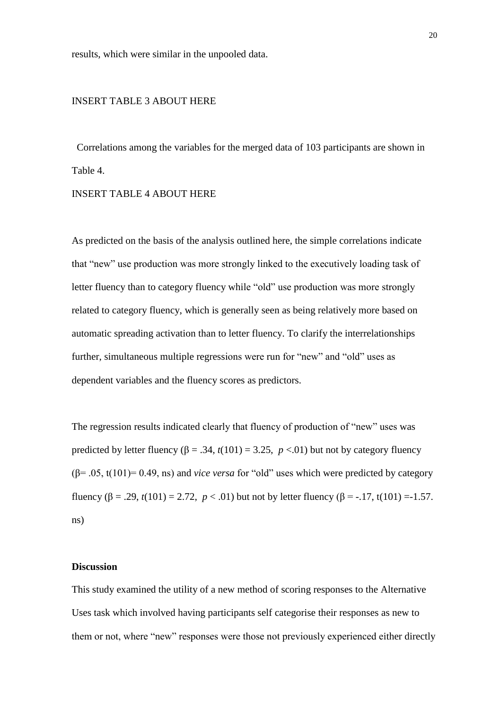results, which were similar in the unpooled data.

# INSERT TABLE 3 ABOUT HERE

 Correlations among the variables for the merged data of 103 participants are shown in Table 4.

#### INSERT TABLE 4 ABOUT HERE

As predicted on the basis of the analysis outlined here, the simple correlations indicate that "new" use production was more strongly linked to the executively loading task of letter fluency than to category fluency while "old" use production was more strongly related to category fluency, which is generally seen as being relatively more based on automatic spreading activation than to letter fluency. To clarify the interrelationships further, simultaneous multiple regressions were run for "new" and "old" uses as dependent variables and the fluency scores as predictors.

The regression results indicated clearly that fluency of production of "new" uses was predicted by letter fluency  $(\beta = .34, t(101) = 3.25, p < .01)$  but not by category fluency  $(\beta = .05, t(101) = 0.49, \text{ns})$  and *vice versa* for "old" uses which were predicted by category fluency ( $\beta$  = .29, *t*(101) = 2.72, *p* < .01) but not by letter fluency ( $\beta$  = -.17, t(101) = -1.57. ns)

### **Discussion**

This study examined the utility of a new method of scoring responses to the Alternative Uses task which involved having participants self categorise their responses as new to them or not, where "new" responses were those not previously experienced either directly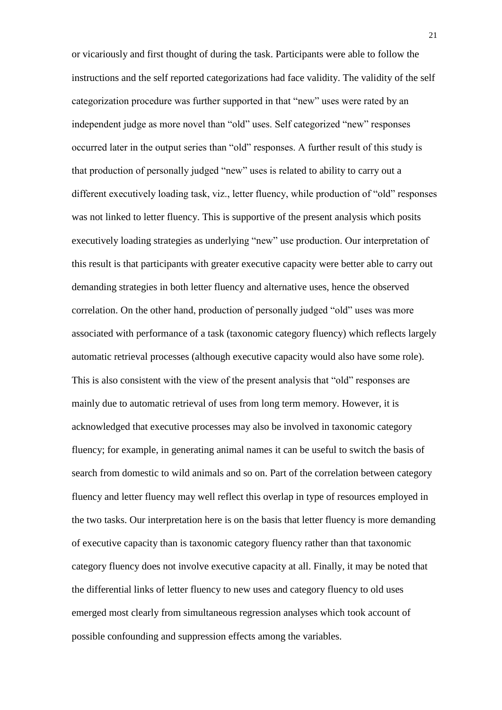or vicariously and first thought of during the task. Participants were able to follow the instructions and the self reported categorizations had face validity. The validity of the self categorization procedure was further supported in that "new" uses were rated by an independent judge as more novel than "old" uses. Self categorized "new" responses occurred later in the output series than "old" responses. A further result of this study is that production of personally judged "new" uses is related to ability to carry out a different executively loading task, viz., letter fluency, while production of "old" responses was not linked to letter fluency. This is supportive of the present analysis which posits executively loading strategies as underlying "new" use production. Our interpretation of this result is that participants with greater executive capacity were better able to carry out demanding strategies in both letter fluency and alternative uses, hence the observed correlation. On the other hand, production of personally judged "old" uses was more associated with performance of a task (taxonomic category fluency) which reflects largely automatic retrieval processes (although executive capacity would also have some role). This is also consistent with the view of the present analysis that "old" responses are mainly due to automatic retrieval of uses from long term memory. However, it is acknowledged that executive processes may also be involved in taxonomic category fluency; for example, in generating animal names it can be useful to switch the basis of search from domestic to wild animals and so on. Part of the correlation between category fluency and letter fluency may well reflect this overlap in type of resources employed in the two tasks. Our interpretation here is on the basis that letter fluency is more demanding of executive capacity than is taxonomic category fluency rather than that taxonomic category fluency does not involve executive capacity at all. Finally, it may be noted that the differential links of letter fluency to new uses and category fluency to old uses emerged most clearly from simultaneous regression analyses which took account of possible confounding and suppression effects among the variables.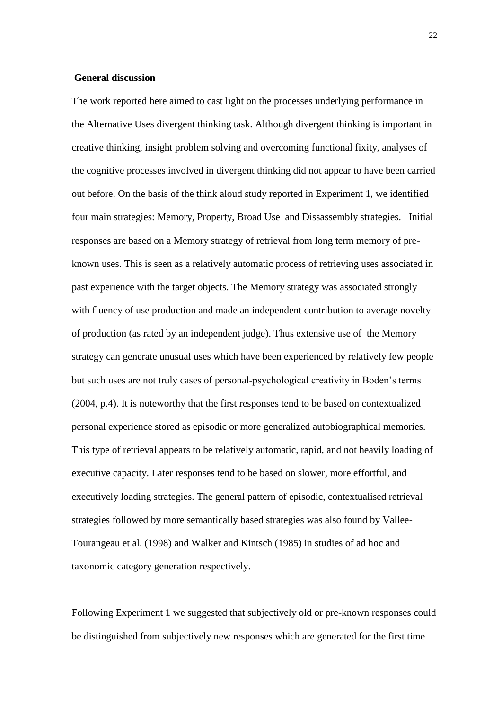## **General discussion**

The work reported here aimed to cast light on the processes underlying performance in the Alternative Uses divergent thinking task. Although divergent thinking is important in creative thinking, insight problem solving and overcoming functional fixity, analyses of the cognitive processes involved in divergent thinking did not appear to have been carried out before. On the basis of the think aloud study reported in Experiment 1, we identified four main strategies: Memory, Property, Broad Use and Dissassembly strategies. Initial responses are based on a Memory strategy of retrieval from long term memory of preknown uses. This is seen as a relatively automatic process of retrieving uses associated in past experience with the target objects. The Memory strategy was associated strongly with fluency of use production and made an independent contribution to average novelty of production (as rated by an independent judge). Thus extensive use of the Memory strategy can generate unusual uses which have been experienced by relatively few people but such uses are not truly cases of personal-psychological creativity in Boden"s terms (2004, p.4). It is noteworthy that the first responses tend to be based on contextualized personal experience stored as episodic or more generalized autobiographical memories. This type of retrieval appears to be relatively automatic, rapid, and not heavily loading of executive capacity. Later responses tend to be based on slower, more effortful, and executively loading strategies. The general pattern of episodic, contextualised retrieval strategies followed by more semantically based strategies was also found by Vallee-Tourangeau et al. (1998) and Walker and Kintsch (1985) in studies of ad hoc and taxonomic category generation respectively.

Following Experiment 1 we suggested that subjectively old or pre-known responses could be distinguished from subjectively new responses which are generated for the first time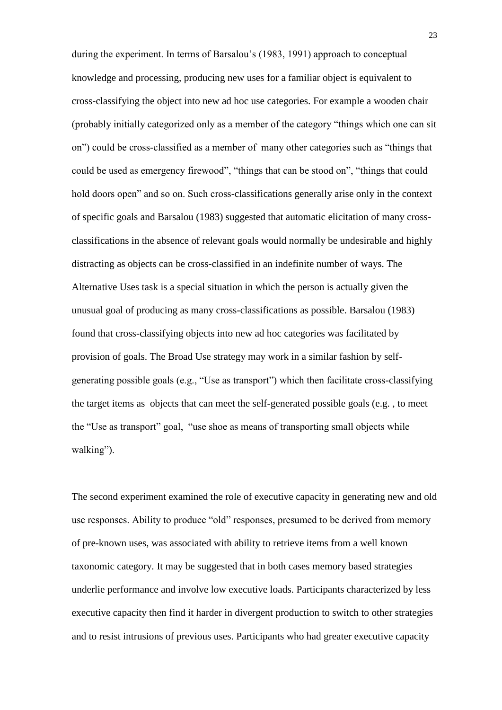during the experiment. In terms of Barsalou"s (1983, 1991) approach to conceptual knowledge and processing, producing new uses for a familiar object is equivalent to cross-classifying the object into new ad hoc use categories. For example a wooden chair (probably initially categorized only as a member of the category "things which one can sit on") could be cross-classified as a member of many other categories such as "things that could be used as emergency firewood", "things that can be stood on", "things that could hold doors open" and so on. Such cross-classifications generally arise only in the context of specific goals and Barsalou (1983) suggested that automatic elicitation of many crossclassifications in the absence of relevant goals would normally be undesirable and highly distracting as objects can be cross-classified in an indefinite number of ways. The Alternative Uses task is a special situation in which the person is actually given the unusual goal of producing as many cross-classifications as possible. Barsalou (1983) found that cross-classifying objects into new ad hoc categories was facilitated by provision of goals. The Broad Use strategy may work in a similar fashion by selfgenerating possible goals (e.g., "Use as transport") which then facilitate cross-classifying the target items as objects that can meet the self-generated possible goals (e.g. , to meet the "Use as transport" goal, "use shoe as means of transporting small objects while walking").

The second experiment examined the role of executive capacity in generating new and old use responses. Ability to produce "old" responses, presumed to be derived from memory of pre-known uses, was associated with ability to retrieve items from a well known taxonomic category. It may be suggested that in both cases memory based strategies underlie performance and involve low executive loads. Participants characterized by less executive capacity then find it harder in divergent production to switch to other strategies and to resist intrusions of previous uses. Participants who had greater executive capacity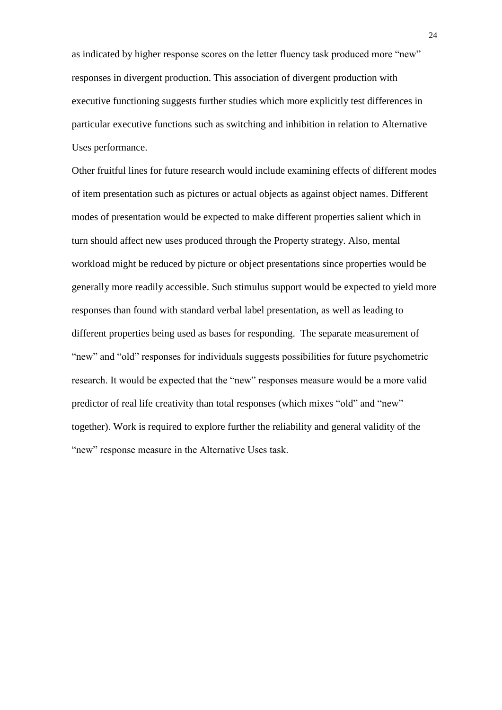as indicated by higher response scores on the letter fluency task produced more "new" responses in divergent production. This association of divergent production with executive functioning suggests further studies which more explicitly test differences in particular executive functions such as switching and inhibition in relation to Alternative Uses performance.

Other fruitful lines for future research would include examining effects of different modes of item presentation such as pictures or actual objects as against object names. Different modes of presentation would be expected to make different properties salient which in turn should affect new uses produced through the Property strategy. Also, mental workload might be reduced by picture or object presentations since properties would be generally more readily accessible. Such stimulus support would be expected to yield more responses than found with standard verbal label presentation, as well as leading to different properties being used as bases for responding. The separate measurement of "new" and "old" responses for individuals suggests possibilities for future psychometric research. It would be expected that the "new" responses measure would be a more valid predictor of real life creativity than total responses (which mixes "old" and "new" together). Work is required to explore further the reliability and general validity of the "new" response measure in the Alternative Uses task.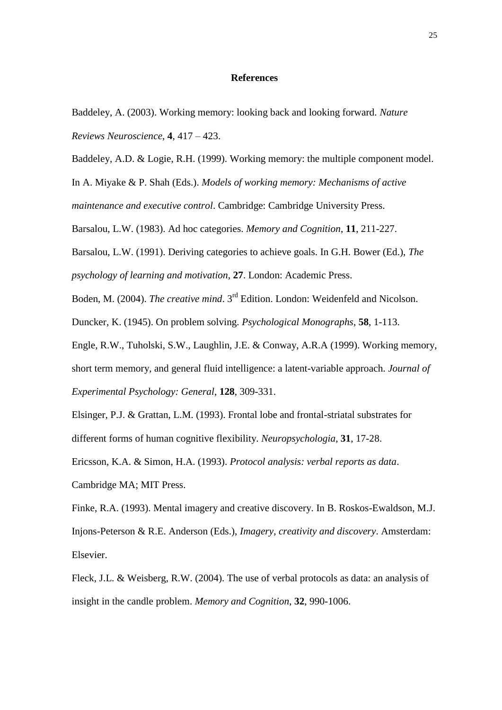### **References**

Baddeley, A. (2003). Working memory: looking back and looking forward. *Nature Reviews Neuroscience*, **4**, 417 – 423.

Baddeley, A.D. & Logie, R.H. (1999). Working memory: the multiple component model.

In A. Miyake & P. Shah (Eds.). *Models of working memory: Mechanisms of active maintenance and executive control*. Cambridge: Cambridge University Press.

Barsalou, L.W. (1983). Ad hoc categories. *Memory and Cognition*, **11**, 211-227.

Barsalou, L.W. (1991). Deriving categories to achieve goals. In G.H. Bower (Ed.), *The* 

*psychology of learning and motivation*, **27**. London: Academic Press.

Boden, M. (2004). *The creative mind*. 3rd Edition. London: Weidenfeld and Nicolson.

Duncker, K. (1945). On problem solving. *Psychological Monographs*, **58**, 1-113.

Engle, R.W., Tuholski, S.W., Laughlin, J.E. & Conway, A.R.A (1999). Working memory,

short term memory, and general fluid intelligence: a latent-variable approach. *Journal of* 

*Experimental Psychology: General*, **128**, 309-331.

Elsinger, P.J. & Grattan, L.M. (1993). Frontal lobe and frontal-striatal substrates for different forms of human cognitive flexibility. *Neuropsychologia*, **31**, 17-28.

Ericsson, K.A. & Simon, H.A. (1993). *Protocol analysis: verbal reports as data*.

Cambridge MA; MIT Press.

Finke, R.A. (1993). Mental imagery and creative discovery. In B. Roskos-Ewaldson, M.J. Injons-Peterson & R.E. Anderson (Eds.), *Imagery, creativity and discovery*. Amsterdam: Elsevier.

Fleck, J.L. & Weisberg, R.W. (2004). The use of verbal protocols as data: an analysis of insight in the candle problem. *Memory and Cognition*, **32**, 990-1006.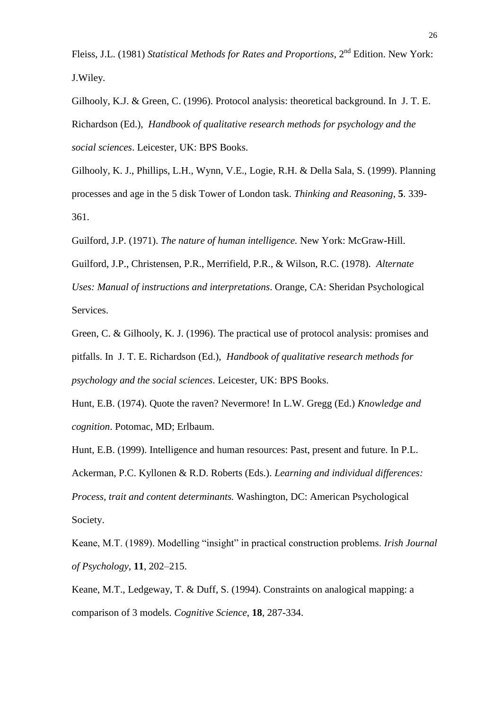Fleiss, J.L. (1981) *Statistical Methods for Rates and Proportions*, 2<sup>nd</sup> Edition. New York: J.Wiley.

Gilhooly, K.J. & Green, C. (1996). Protocol analysis: theoretical background. In J. T. E. Richardson (Ed.), *Handbook of qualitative research methods for psychology and the social sciences*. Leicester, UK: BPS Books.

Gilhooly, K. J., Phillips, L.H., Wynn, V.E., Logie, R.H. & Della Sala, S. (1999). Planning processes and age in the 5 disk Tower of London task. *Thinking and Reasoning*, **5**. 339- 361.

Guilford, J.P. (1971). *The nature of human intelligence.* New York: McGraw-Hill.

Guilford, J.P., Christensen, P.R., Merrifield, P.R., & Wilson, R.C. (1978). *Alternate Uses: Manual of instructions and interpretations*. Orange, CA: Sheridan Psychological Services.

Green, C. & Gilhooly, K. J. (1996). The practical use of protocol analysis: promises and pitfalls. In J. T. E. Richardson (Ed.), *Handbook of qualitative research methods for psychology and the social sciences*. Leicester, UK: BPS Books.

Hunt, E.B. (1974). Quote the raven? Nevermore! In L.W. Gregg (Ed.) *Knowledge and cognition*. Potomac, MD; Erlbaum.

Hunt, E.B. (1999). Intelligence and human resources: Past, present and future. In P.L. Ackerman, P.C. Kyllonen & R.D. Roberts (Eds.). *Learning and individual differences: Process, trait and content determinants.* Washington, DC: American Psychological Society.

Keane, M.T. (1989). Modelling "insight" in practical construction problems. *Irish Journal of Psychology*, **11**, 202–215.

Keane, M.T., Ledgeway, T. & Duff, S. (1994). Constraints on analogical mapping: a comparison of 3 models. *Cognitive Science*, **18**, 287-334.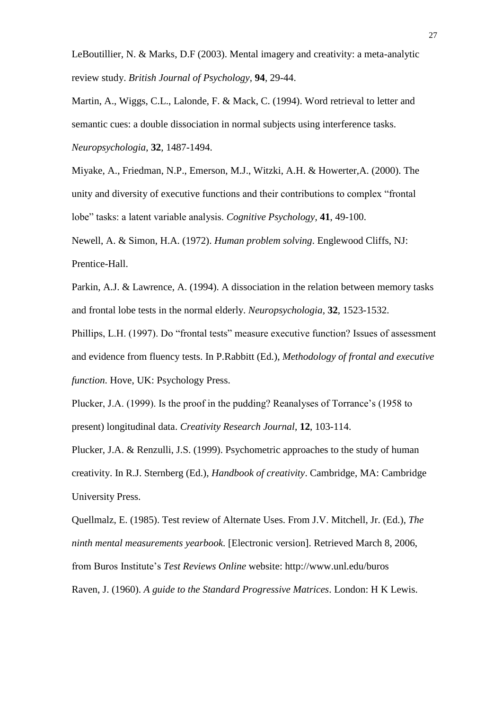LeBoutillier, N. & Marks, D.F (2003). Mental imagery and creativity: a meta-analytic review study. *British Journal of Psychology*, **94**, 29-44.

Martin, A., Wiggs, C.L., Lalonde, F. & Mack, C. (1994). Word retrieval to letter and semantic cues: a double dissociation in normal subjects using interference tasks. *Neuropsychologia*, **32**, 1487-1494.

Miyake, A., Friedman, N.P., Emerson, M.J., Witzki, A.H. & Howerter,A. (2000). The unity and diversity of executive functions and their contributions to complex "frontal lobe" tasks: a latent variable analysis. *Cognitive Psychology*, **41**, 49-100.

Newell, A. & Simon, H.A. (1972). *Human problem solving*. Englewood Cliffs, NJ: Prentice-Hall.

Parkin, A.J. & Lawrence, A. (1994). A dissociation in the relation between memory tasks and frontal lobe tests in the normal elderly. *Neuropsychologia*, **32**, 1523-1532.

Phillips, L.H. (1997). Do "frontal tests" measure executive function? Issues of assessment and evidence from fluency tests. In P.Rabbitt (Ed.), *Methodology of frontal and executive function*. Hove, UK: Psychology Press.

Plucker, J.A. (1999). Is the proof in the pudding? Reanalyses of Torrance's (1958 to present) longitudinal data. *Creativity Research Journal*, **12**, 103-114.

Plucker, J.A. & Renzulli, J.S. (1999). Psychometric approaches to the study of human creativity. In R.J. Sternberg (Ed.), *Handbook of creativity*. Cambridge, MA: Cambridge University Press.

Quellmalz, E. (1985). Test review of Alternate Uses. From J.V. Mitchell, Jr. (Ed.), *The ninth mental measurements yearbook.* [Electronic version]. Retrieved March 8, 2006, from Buros Institute"s *Test Reviews Online* website: http://www.unl.edu/buros Raven, J. (1960). *A guide to the Standard Progressive Matrices*. London: H K Lewis.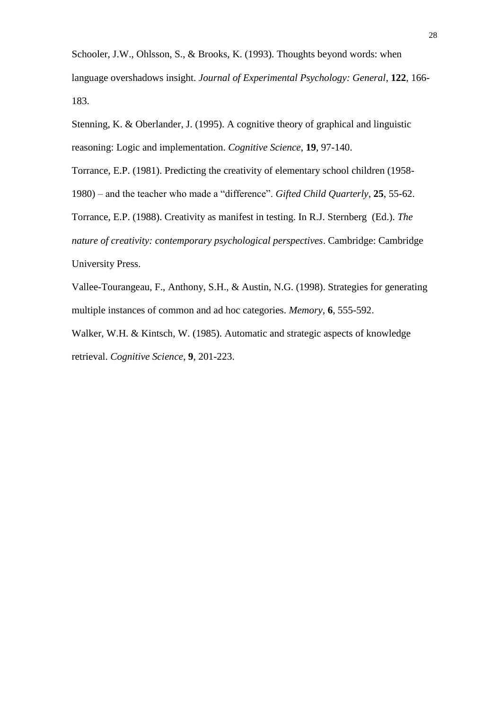Schooler, J.W., Ohlsson, S., & Brooks, K. (1993). Thoughts beyond words: when language overshadows insight. *Journal of Experimental Psychology: General*, **122**, 166- 183.

Stenning, K. & Oberlander, J. (1995). A cognitive theory of graphical and linguistic reasoning: Logic and implementation. *Cognitive Science*, **19**, 97-140.

Torrance, E.P. (1981). Predicting the creativity of elementary school children (1958-

1980) – and the teacher who made a "difference". *Gifted Child Quarterly*, **25**, 55-62.

Torrance, E.P. (1988). Creativity as manifest in testing. In R.J. Sternberg (Ed.). *The* 

*nature of creativity: contemporary psychological perspectives*. Cambridge: Cambridge University Press.

Vallee-Tourangeau, F., Anthony, S.H., & Austin, N.G. (1998). Strategies for generating multiple instances of common and ad hoc categories. *Memory*, **6**, 555-592.

Walker, W.H. & Kintsch, W. (1985). Automatic and strategic aspects of knowledge retrieval. *Cognitive Science*, **9**, 201-223.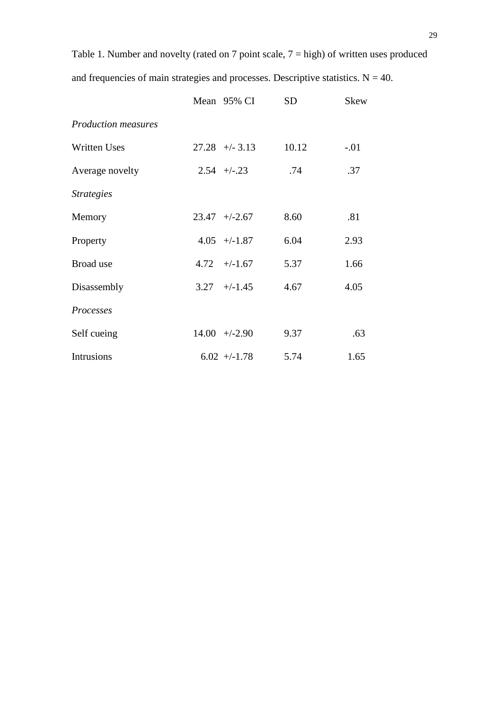Table 1. Number and novelty (rated on 7 point scale, 7 = high) of written uses produced and frequencies of main strategies and processes. Descriptive statistics.  $N = 40$ .

|                            |      | Mean 95% CI      | <b>SD</b> | <b>Skew</b> |
|----------------------------|------|------------------|-----------|-------------|
| <b>Production measures</b> |      |                  |           |             |
| <b>Written Uses</b>        |      | $27.28$ +/- 3.13 | 10.12     | $-.01$      |
| Average novelty            |      | $2.54$ +/-.23    | .74       | .37         |
| <b>Strategies</b>          |      |                  |           |             |
| Memory                     |      | $23.47 +/-2.67$  | 8.60      | .81         |
| Property                   |      | $4.05$ +/-1.87   | 6.04      | 2.93        |
| Broad use                  |      | $4.72 + (-1.67)$ | 5.37      | 1.66        |
| Disassembly                | 3.27 | $+/-1.45$        | 4.67      | 4.05        |
| Processes                  |      |                  |           |             |
| Self cueing                |      | $14.00 +/-2.90$  | 9.37      | .63         |
| <b>Intrusions</b>          |      | $6.02 + -1.78$   | 5.74      | 1.65        |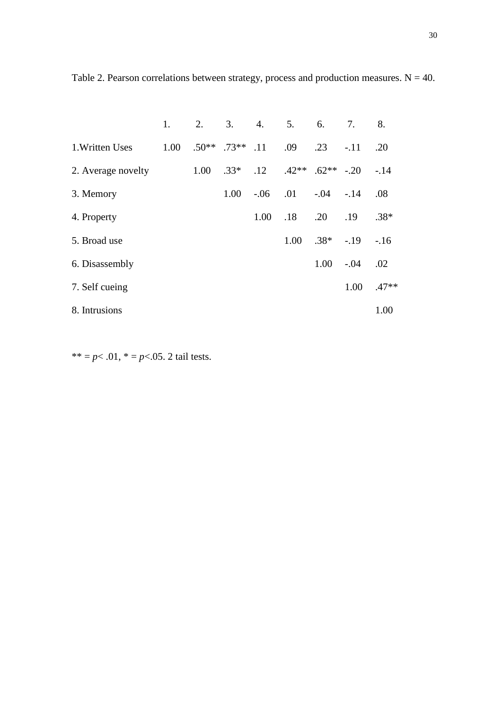|                    | 1.   |      |      | 2. 3. 4. 5. 6.                          |                |            | 7.          | 8.      |
|--------------------|------|------|------|-----------------------------------------|----------------|------------|-------------|---------|
| 1. Written Uses    | 1.00 |      |      | $.50^{**}$ $.73^{**}$ $.11$ $.09$ $.23$ |                |            | $-.11$      | .20     |
| 2. Average novelty |      | 1.00 |      | $.33*$ $.12$ $.42**$ $.62**$ $.20$      |                |            |             | $-.14$  |
| 3. Memory          |      |      | 1.00 |                                         | $-0.06$ $0.01$ | $-.04-.14$ |             | .08     |
| 4. Property        |      |      |      | 1.00                                    | .18            | .20        | .19         | $.38*$  |
| 5. Broad use       |      |      |      |                                         | 1.00           |            | $.38* -.19$ | $-.16$  |
| 6. Disassembly     |      |      |      |                                         |                | 1.00       | $-0.04$     | .02     |
| 7. Self cueing     |      |      |      |                                         |                |            | 1.00        | $.47**$ |
| 8. Intrusions      |      |      |      |                                         |                |            |             | 1.00    |

Table 2. Pearson correlations between strategy, process and production measures.  $N = 40$ .

\*\* =  $p$  < .01, \* =  $p$  < .05. 2 tail tests.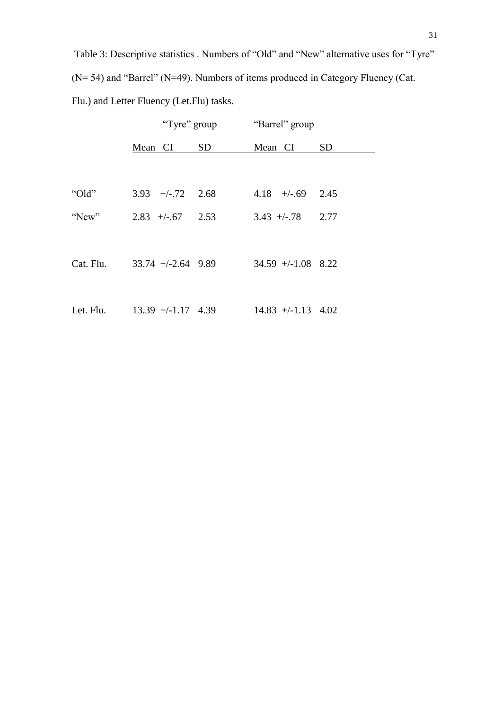Table 3: Descriptive statistics . Numbers of "Old" and "New" alternative uses for "Tyre" (N= 54) and "Barrel" (N=49). Numbers of items produced in Category Fluency (Cat. Flu.) and Letter Fluency (Let.Flu) tasks.

|           |                                |                 | "Tyre" group "Barrel" group  |           |  |
|-----------|--------------------------------|-----------------|------------------------------|-----------|--|
|           | Mean CI                        | SD <sub>1</sub> | Mean CI                      | <b>SD</b> |  |
|           |                                |                 |                              |           |  |
| "Old"     | $3.93 + (-.72) 2.68$           |                 | 4.18 $+/-.69$ 2.45           |           |  |
| "New"     | $2.83$ +/-.67 2.53             |                 | $3.43 + (-.78) 2.77$         |           |  |
|           | Cat. Flu. $33.74 +1.2.64$ 9.89 |                 | $34.59 + (-1.08 \quad 8.22)$ |           |  |
| Let. Flu. | $13.39 + -1.17$ 4.39           |                 | $14.83 + -1.13$ 4.02         |           |  |